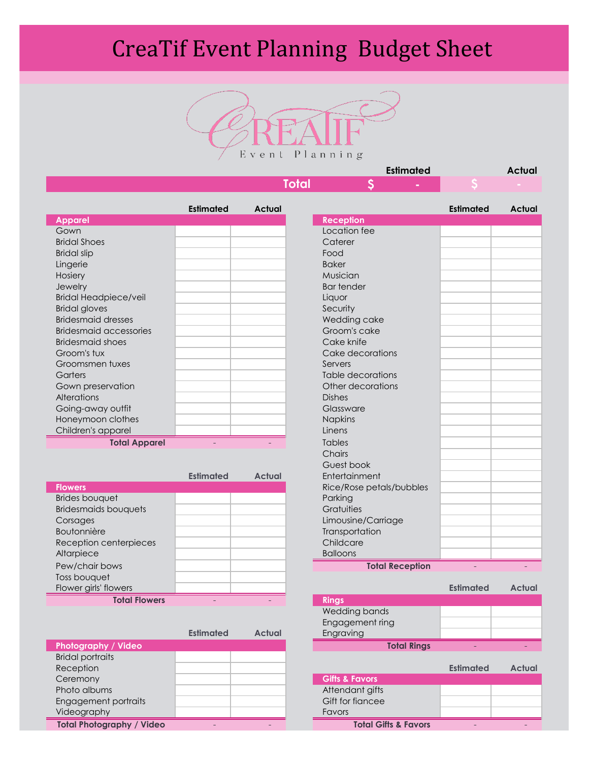## CreaTif Event Planning Budget Sheet



|              | <b>Estimated</b> | Actual |
|--------------|------------------|--------|
| <b>Total</b> |                  |        |
|              |                  |        |

|                               | <b>Estimated</b> | <b>Actual</b> |                   |
|-------------------------------|------------------|---------------|-------------------|
| <b>Apparel</b>                |                  |               | <b>Reception</b>  |
| Gown                          |                  |               | Location fee      |
| <b>Bridal Shoes</b>           |                  |               | Caterer           |
| <b>Bridal slip</b>            |                  |               | Food              |
| Lingerie                      |                  |               | <b>Baker</b>      |
| Hosiery                       |                  |               | Musician          |
| Jewelry                       |                  |               | <b>Bar tender</b> |
| <b>Bridal Headpiece/veil</b>  |                  |               | Liquor            |
| <b>Bridal gloves</b>          |                  |               | Security          |
| <b>Bridesmaid dresses</b>     |                  |               | Wedding cake      |
| <b>Bridesmaid accessories</b> |                  |               | Groom's cake      |
| <b>Bridesmaid shoes</b>       |                  |               | Cake knife        |
| Groom's tux                   |                  |               | Cake decorations  |
| Groomsmen tuxes               |                  |               | Servers           |
| Garters                       |                  |               | Table decorations |
| Gown preservation             |                  |               | Other decorations |
| <b>Alterations</b>            |                  |               | <b>Dishes</b>     |
| Going-away outfit             |                  |               | Glassware         |
| Honeymoon clothes             |                  |               | <b>Napkins</b>    |
| Children's apparel            |                  |               | Linens            |
| Tatal Ammaral                 |                  |               | $T$ ahlas         |

**Total Apparel** - - Tables

|                             | <b>Estimated</b> | <b>Actual</b> | Entertainment            |                  |               |
|-----------------------------|------------------|---------------|--------------------------|------------------|---------------|
| <b>Flowers</b>              |                  |               | Rice/Rose petals/bubbles |                  |               |
| <b>Brides bouquet</b>       |                  |               | Parking                  |                  |               |
| <b>Bridesmaids bouquets</b> |                  |               | Gratuities               |                  |               |
| Corsages                    |                  |               | Limousine/Carriage       |                  |               |
| <b>Boutonnière</b>          |                  |               | Transportation           |                  |               |
| Reception centerpieces      |                  |               | Childcare                |                  |               |
| Altarpiece                  |                  |               | <b>Balloons</b>          |                  |               |
| Pew/chair bows              |                  |               | <b>Total Reception</b>   |                  |               |
| Toss bouquet                |                  |               |                          |                  |               |
| Flower girls' flowers       |                  |               |                          | <b>Estimated</b> | <b>Actual</b> |
| <b>Total Flowers</b>        |                  |               | <b>Rings</b>             |                  |               |

|                                  | <b>Estimated</b>         | <b>Actual</b> | Engraving                 |                                 |                  |               |
|----------------------------------|--------------------------|---------------|---------------------------|---------------------------------|------------------|---------------|
| Photography / Video              |                          |               |                           | <b>Total Rings</b>              |                  |               |
| <b>Bridal portraits</b>          |                          |               |                           |                                 |                  |               |
| Reception                        |                          |               |                           |                                 | <b>Estimated</b> | <b>Actual</b> |
| Ceremony                         |                          |               | <b>Gifts &amp; Favors</b> |                                 |                  |               |
| Photo albums                     |                          |               | Attendant gifts           |                                 |                  |               |
| Engagement portraits             |                          |               | Gift for fiancee          |                                 |                  |               |
| Videography                      |                          |               | <b>Favors</b>             |                                 |                  |               |
| <b>Total Photography / Video</b> | $\overline{\phantom{a}}$ |               |                           | <b>Total Gifts &amp; Favors</b> |                  |               |

| <b>Estimated</b> | <b>Actual</b> |                          | <b>Estimated</b> | <b>Actual</b> |
|------------------|---------------|--------------------------|------------------|---------------|
|                  |               | <b>Reception</b>         |                  |               |
|                  |               | Location fee             |                  |               |
|                  |               | Caterer                  |                  |               |
|                  |               | Food                     |                  |               |
|                  |               | <b>Baker</b>             |                  |               |
|                  |               | Musician                 |                  |               |
|                  |               | <b>Bar tender</b>        |                  |               |
|                  |               | Liquor                   |                  |               |
|                  |               | Security                 |                  |               |
|                  |               | Wedding cake             |                  |               |
|                  |               | Groom's cake             |                  |               |
|                  |               | Cake knife               |                  |               |
|                  |               | Cake decorations         |                  |               |
|                  |               | Servers                  |                  |               |
|                  |               | <b>Table decorations</b> |                  |               |
|                  |               | Other decorations        |                  |               |
|                  |               | <b>Dishes</b>            |                  |               |
|                  |               | Glassware                |                  |               |
|                  |               | <b>Napkins</b>           |                  |               |
|                  |               | Linens                   |                  |               |
|                  |               | <b>Tables</b>            |                  |               |
|                  |               | Chairs                   |                  |               |
|                  |               | Guest book               |                  |               |
| <b>Estimated</b> | <b>Actual</b> | Entertainment            |                  |               |
|                  |               | Rice/Rose petals/bubbles |                  |               |
|                  |               | Parking                  |                  |               |
|                  |               | Gratuities               |                  |               |
|                  |               | Limousine/Carriage       |                  |               |
|                  |               | Transportation           |                  |               |
|                  |               | Childcare                |                  |               |
|                  |               | <b>Balloons</b>          |                  |               |
|                  |               | <b>Total Reception</b>   |                  |               |

|                    | <b>Estimated</b> | <b>Actual</b> |
|--------------------|------------------|---------------|
| <b>Rings</b>       |                  |               |
| Wedding bands      |                  |               |
| Engagement ring    |                  |               |
| Engraving          |                  |               |
| <b>Total Rings</b> |                  |               |

|                                 | <b>Estimated</b> | <b>Actual</b> |
|---------------------------------|------------------|---------------|
| <b>Gifts &amp; Favors</b>       |                  |               |
| Attendant gifts                 |                  |               |
| Gift for figncee                |                  |               |
| <b>Favors</b>                   |                  |               |
| <b>Total Gifts &amp; Favors</b> |                  |               |